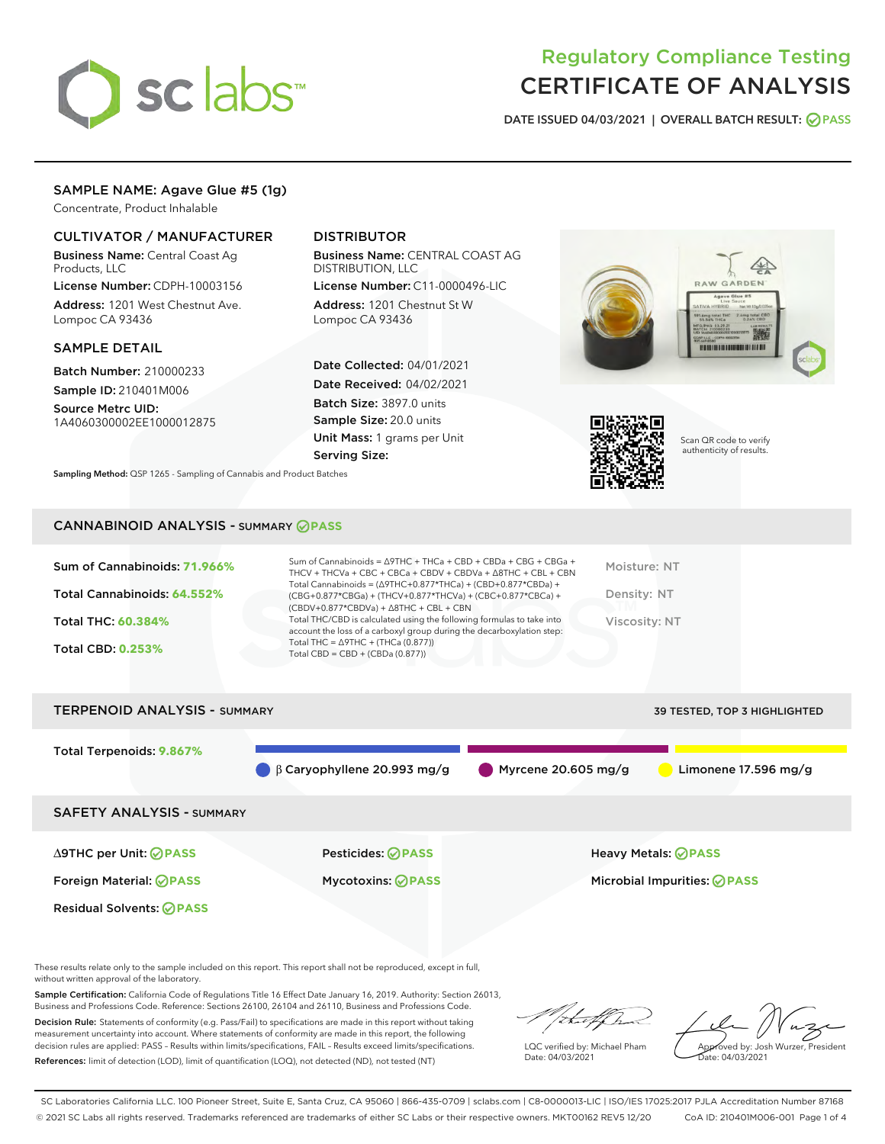

# Regulatory Compliance Testing CERTIFICATE OF ANALYSIS

DATE ISSUED 04/03/2021 | OVERALL BATCH RESULT: @ PASS

# SAMPLE NAME: Agave Glue #5 (1g)

Concentrate, Product Inhalable

# CULTIVATOR / MANUFACTURER

Business Name: Central Coast Ag Products, LLC

License Number: CDPH-10003156 Address: 1201 West Chestnut Ave. Lompoc CA 93436

## SAMPLE DETAIL

Batch Number: 210000233 Sample ID: 210401M006

Source Metrc UID: 1A4060300002EE1000012875

# DISTRIBUTOR

Business Name: CENTRAL COAST AG DISTRIBUTION, LLC

License Number: C11-0000496-LIC Address: 1201 Chestnut St W Lompoc CA 93436

Date Collected: 04/01/2021 Date Received: 04/02/2021 Batch Size: 3897.0 units Sample Size: 20.0 units Unit Mass: 1 grams per Unit Serving Size:





Scan QR code to verify authenticity of results.

CANNABINOID ANALYSIS - SUMMARY **PASS**

Sampling Method: QSP 1265 - Sampling of Cannabis and Product Batches

| Sum of Cannabinoids: 71.966% | Sum of Cannabinoids = $\triangle$ 9THC + THCa + CBD + CBDa + CBG + CBGa +<br>THCV + THCVa + CBC + CBCa + CBDV + CBDVa + $\Delta$ 8THC + CBL + CBN                                    | Moisture: NT  |
|------------------------------|--------------------------------------------------------------------------------------------------------------------------------------------------------------------------------------|---------------|
| Total Cannabinoids: 64.552%  | Total Cannabinoids = $(\Delta$ 9THC+0.877*THCa) + (CBD+0.877*CBDa) +<br>(CBG+0.877*CBGa) + (THCV+0.877*THCVa) + (CBC+0.877*CBCa) +<br>$(CBDV+0.877*CBDVa) + \Delta 8THC + CBL + CBN$ | Density: NT   |
| Total THC: 60.384%           | Total THC/CBD is calculated using the following formulas to take into<br>account the loss of a carboxyl group during the decarboxylation step:                                       | Viscosity: NT |
| <b>Total CBD: 0.253%</b>     | Total THC = $\triangle$ 9THC + (THCa (0.877))<br>Total CBD = $CBD + (CBDa (0.877))$                                                                                                  |               |
|                              |                                                                                                                                                                                      |               |

# TERPENOID ANALYSIS - SUMMARY 39 TESTED, TOP 3 HIGHLIGHTED Total Terpenoids: **9.867%** β Caryophyllene 20.993 mg/g Myrcene 20.605 mg/g Limonene 17.596 mg/g SAFETY ANALYSIS - SUMMARY ∆9THC per Unit: **PASS** Pesticides: **PASS** Heavy Metals: **PASS** Foreign Material: **PASS** Mycotoxins: **PASS** Microbial Impurities: **PASS** Residual Solvents: **OPASS**

These results relate only to the sample included on this report. This report shall not be reproduced, except in full, without written approval of the laboratory.

Sample Certification: California Code of Regulations Title 16 Effect Date January 16, 2019. Authority: Section 26013, Business and Professions Code. Reference: Sections 26100, 26104 and 26110, Business and Professions Code.

Decision Rule: Statements of conformity (e.g. Pass/Fail) to specifications are made in this report without taking measurement uncertainty into account. Where statements of conformity are made in this report, the following decision rules are applied: PASS – Results within limits/specifications, FAIL – Results exceed limits/specifications. References: limit of detection (LOD), limit of quantification (LOQ), not detected (ND), not tested (NT)

that for

LQC verified by: Michael Pham Date: 04/03/2021

Approved by: Josh Wurzer, President ate: 04/03/2021

SC Laboratories California LLC. 100 Pioneer Street, Suite E, Santa Cruz, CA 95060 | 866-435-0709 | sclabs.com | C8-0000013-LIC | ISO/IES 17025:2017 PJLA Accreditation Number 87168 © 2021 SC Labs all rights reserved. Trademarks referenced are trademarks of either SC Labs or their respective owners. MKT00162 REV5 12/20 CoA ID: 210401M006-001 Page 1 of 4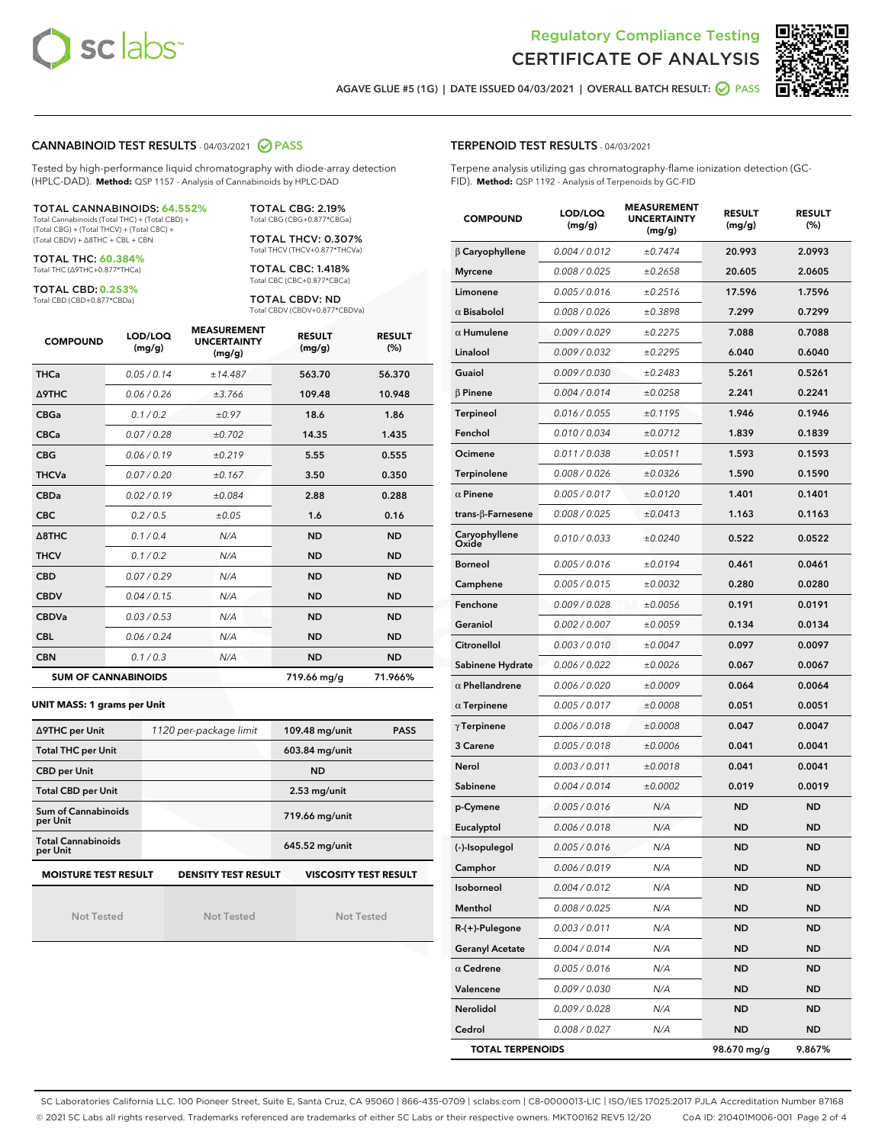



AGAVE GLUE #5 (1G) | DATE ISSUED 04/03/2021 | OVERALL BATCH RESULT: @ PASS

#### CANNABINOID TEST RESULTS - 04/03/2021 2 PASS

Tested by high-performance liquid chromatography with diode-array detection (HPLC-DAD). **Method:** QSP 1157 - Analysis of Cannabinoids by HPLC-DAD

#### TOTAL CANNABINOIDS: **64.552%** Total Cannabinoids (Total THC) + (Total CBD) +

(Total CBG) + (Total THCV) + (Total CBC) + (Total CBDV) + ∆8THC + CBL + CBN

TOTAL THC: **60.384%** Total THC (∆9THC+0.877\*THCa)

TOTAL CBD: **0.253%**

Total CBD (CBD+0.877\*CBDa)

TOTAL CBG: 2.19% Total CBG (CBG+0.877\*CBGa)

TOTAL THCV: 0.307% Total THCV (THCV+0.877\*THCVa)

TOTAL CBC: 1.418% Total CBC (CBC+0.877\*CBCa)

TOTAL CBDV: ND Total CBDV (CBDV+0.877\*CBDVa)

| <b>COMPOUND</b>  | LOD/LOQ<br>(mg/g)          | <b>MEASUREMENT</b><br><b>UNCERTAINTY</b><br>(mg/g) | <b>RESULT</b><br>(mg/g) | <b>RESULT</b><br>(%) |
|------------------|----------------------------|----------------------------------------------------|-------------------------|----------------------|
| <b>THCa</b>      | 0.05/0.14                  | ±14.487                                            | 563.70                  | 56.370               |
| <b>A9THC</b>     | 0.06 / 0.26                | ±3.766                                             | 109.48                  | 10.948               |
| <b>CBGa</b>      | 0.1 / 0.2                  | ±0.97                                              | 18.6                    | 1.86                 |
| <b>CBCa</b>      | 0.07/0.28                  | ±0.702                                             | 14.35                   | 1.435                |
| <b>CBG</b>       | 0.06 / 0.19                | ±0.219                                             | 5.55                    | 0.555                |
| <b>THCVa</b>     | 0.07/0.20                  | ±0.167                                             | 3.50                    | 0.350                |
| <b>CBDa</b>      | 0.02/0.19                  | ±0.084                                             | 2.88                    | 0.288                |
| <b>CBC</b>       | 0.2 / 0.5                  | ±0.05                                              | 1.6                     | 0.16                 |
| $\triangle$ 8THC | 0.1 / 0.4                  | N/A                                                | <b>ND</b>               | <b>ND</b>            |
| <b>THCV</b>      | 0.1 / 0.2                  | N/A                                                | <b>ND</b>               | <b>ND</b>            |
| <b>CBD</b>       | 0.07/0.29                  | N/A                                                | <b>ND</b>               | <b>ND</b>            |
| <b>CBDV</b>      | 0.04 / 0.15                | N/A                                                | <b>ND</b>               | <b>ND</b>            |
| <b>CBDVa</b>     | 0.03/0.53                  | N/A                                                | <b>ND</b>               | <b>ND</b>            |
| <b>CBL</b>       | 0.06 / 0.24                | N/A                                                | <b>ND</b>               | <b>ND</b>            |
| <b>CBN</b>       | 0.1/0.3                    | N/A                                                | <b>ND</b>               | <b>ND</b>            |
|                  | <b>SUM OF CANNABINOIDS</b> |                                                    | 719.66 mg/g             | 71.966%              |

#### **UNIT MASS: 1 grams per Unit**

| ∆9THC per Unit                        | 1120 per-package limit | 109.48 mg/unit<br><b>PASS</b> |
|---------------------------------------|------------------------|-------------------------------|
| <b>Total THC per Unit</b>             |                        | 603.84 mg/unit                |
| <b>CBD per Unit</b>                   |                        | <b>ND</b>                     |
| <b>Total CBD per Unit</b>             |                        | $2.53$ mg/unit                |
| Sum of Cannabinoids<br>per Unit       |                        | 719.66 mg/unit                |
| <b>Total Cannabinoids</b><br>per Unit |                        | 645.52 mg/unit                |
| <b>MOISTURE TEST RESULT</b>           | DENSITY TEST RESULT    | <b>VISCOSITY TEST RESULT</b>  |

Not Tested

**MOISTURE TEST RESULT**

Not Tested

Not Tested

#### TERPENOID TEST RESULTS - 04/03/2021

Terpene analysis utilizing gas chromatography-flame ionization detection (GC-FID). **Method:** QSP 1192 - Analysis of Terpenoids by GC-FID

| <b>COMPOUND</b>         | LOD/LOQ<br>(mg/g) | <b>MEASUREMENT</b><br><b>UNCERTAINTY</b><br>(mg/g) | <b>RESULT</b><br>(mg/g) | <b>RESULT</b><br>(%) |
|-------------------------|-------------------|----------------------------------------------------|-------------------------|----------------------|
| $\beta$ Caryophyllene   | 0.004 / 0.012     | ±0.7474                                            | 20.993                  | 2.0993               |
| <b>Myrcene</b>          | 0.008 / 0.025     | ±0.2658                                            | 20.605                  | 2.0605               |
| Limonene                | 0.005 / 0.016     | ±0.2516                                            | 17.596                  | 1.7596               |
| $\alpha$ Bisabolol      | 0.008 / 0.026     | ±0.3898                                            | 7.299                   | 0.7299               |
| $\alpha$ Humulene       | 0.009/0.029       | ±0.2275                                            | 7.088                   | 0.7088               |
| Linalool                | 0.009 / 0.032     | ±0.2295                                            | 6.040                   | 0.6040               |
| Guaiol                  | 0.009 / 0.030     | ±0.2483                                            | 5.261                   | 0.5261               |
| $\beta$ Pinene          | 0.004 / 0.014     | ±0.0258                                            | 2.241                   | 0.2241               |
| Terpineol               | 0.016 / 0.055     | ±0.1195                                            | 1.946                   | 0.1946               |
| Fenchol                 | 0.010 / 0.034     | ±0.0712                                            | 1.839                   | 0.1839               |
| Ocimene                 | 0.011 / 0.038     | ±0.0511                                            | 1.593                   | 0.1593               |
| Terpinolene             | 0.008 / 0.026     | ±0.0326                                            | 1.590                   | 0.1590               |
| $\alpha$ Pinene         | 0.005 / 0.017     | ±0.0120                                            | 1.401                   | 0.1401               |
| trans-ß-Farnesene       | 0.008 / 0.025     | ±0.0413                                            | 1.163                   | 0.1163               |
| Caryophyllene<br>Oxide  | 0.010 / 0.033     | ±0.0240                                            | 0.522                   | 0.0522               |
| <b>Borneol</b>          | 0.005 / 0.016     | ±0.0194                                            | 0.461                   | 0.0461               |
| Camphene                | 0.005 / 0.015     | ±0.0032                                            | 0.280                   | 0.0280               |
| Fenchone                | 0.009 / 0.028     | ±0.0056                                            | 0.191                   | 0.0191               |
| Geraniol                | 0.002 / 0.007     | ±0.0059                                            | 0.134                   | 0.0134               |
| Citronellol             | 0.003 / 0.010     | ±0.0047                                            | 0.097                   | 0.0097               |
| Sabinene Hydrate        | 0.006 / 0.022     | ±0.0026                                            | 0.067                   | 0.0067               |
| $\alpha$ Phellandrene   | 0.006 / 0.020     | ±0.0009                                            | 0.064                   | 0.0064               |
| $\alpha$ Terpinene      | 0.005 / 0.017     | ±0.0008                                            | 0.051                   | 0.0051               |
| $\gamma$ Terpinene      | 0.006 / 0.018     | ±0.0008                                            | 0.047                   | 0.0047               |
| 3 Carene                | 0.005 / 0.018     | ±0.0006                                            | 0.041                   | 0.0041               |
| Nerol                   | 0.003 / 0.011     | ±0.0018                                            | 0.041                   | 0.0041               |
| Sabinene                | 0.004 / 0.014     | ±0.0002                                            | 0.019                   | 0.0019               |
| p-Cymene                | 0.005 / 0.016     | N/A                                                | <b>ND</b>               | <b>ND</b>            |
| Eucalyptol              | 0.006 / 0.018     | N/A                                                | ND                      | <b>ND</b>            |
| (-)-Isopulegol          | 0.005 / 0.016     | N/A                                                | <b>ND</b>               | ND                   |
| Camphor                 | 0.006 / 0.019     | N/A                                                | ND                      | ND                   |
| Isoborneol              | 0.004 / 0.012     | N/A                                                | ND                      | ND                   |
| Menthol                 | 0.008 / 0.025     | N/A                                                | <b>ND</b>               | ND                   |
| R-(+)-Pulegone          | 0.003 / 0.011     | N/A                                                | <b>ND</b>               | ND                   |
| <b>Geranyl Acetate</b>  | 0.004 / 0.014     | N/A                                                | ND                      | ND                   |
| $\alpha$ Cedrene        | 0.005 / 0.016     | N/A                                                | ND                      | ND                   |
| Valencene               | 0.009 / 0.030     | N/A                                                | <b>ND</b>               | ND                   |
| Nerolidol               | 0.009 / 0.028     | N/A                                                | ND                      | ND                   |
| Cedrol                  | 0.008 / 0.027     | N/A                                                | <b>ND</b>               | ND                   |
| <b>TOTAL TERPENOIDS</b> |                   |                                                    | 98.670 mg/g             | 9.867%               |

SC Laboratories California LLC. 100 Pioneer Street, Suite E, Santa Cruz, CA 95060 | 866-435-0709 | sclabs.com | C8-0000013-LIC | ISO/IES 17025:2017 PJLA Accreditation Number 87168 © 2021 SC Labs all rights reserved. Trademarks referenced are trademarks of either SC Labs or their respective owners. MKT00162 REV5 12/20 CoA ID: 210401M006-001 Page 2 of 4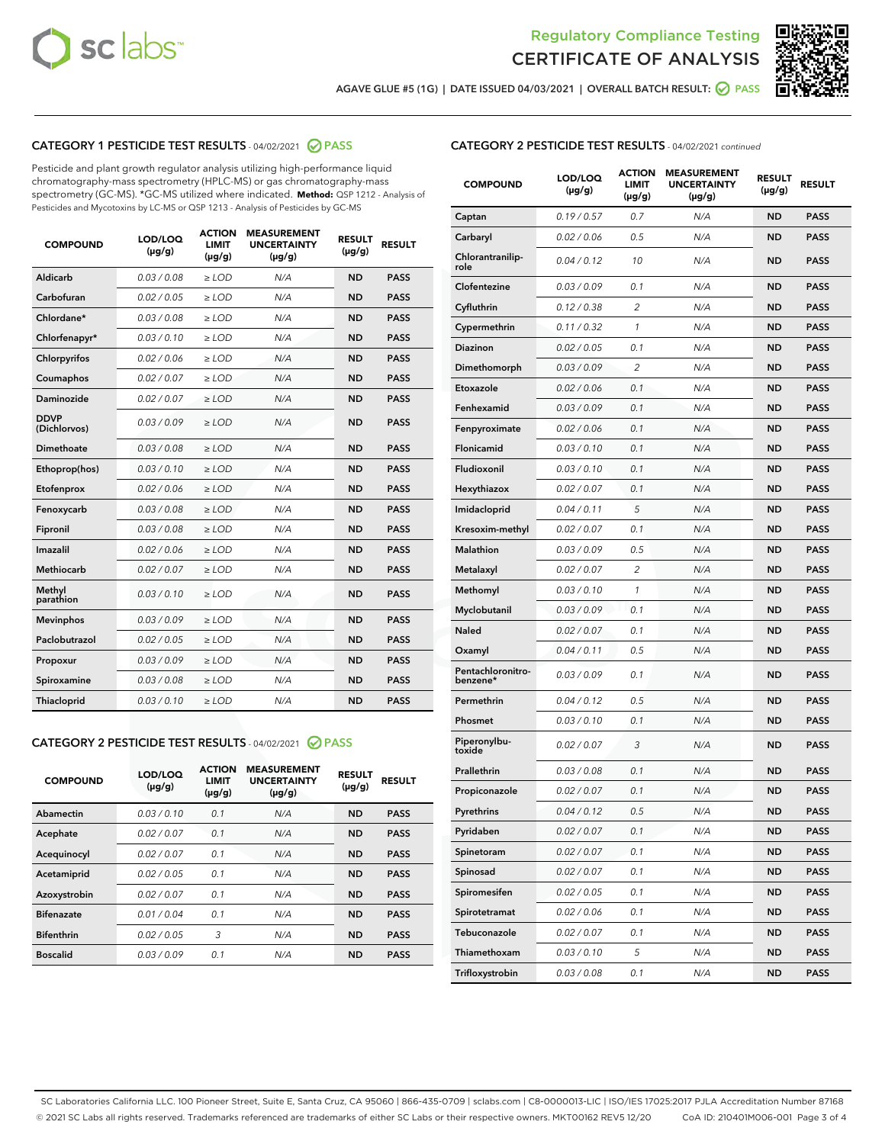



AGAVE GLUE #5 (1G) | DATE ISSUED 04/03/2021 | OVERALL BATCH RESULT:  $\bigcirc$  PASS

# CATEGORY 1 PESTICIDE TEST RESULTS - 04/02/2021 2 PASS

Pesticide and plant growth regulator analysis utilizing high-performance liquid chromatography-mass spectrometry (HPLC-MS) or gas chromatography-mass spectrometry (GC-MS). \*GC-MS utilized where indicated. **Method:** QSP 1212 - Analysis of Pesticides and Mycotoxins by LC-MS or QSP 1213 - Analysis of Pesticides by GC-MS

| <b>COMPOUND</b>             | LOD/LOQ<br>$(\mu g/g)$ | <b>ACTION</b><br><b>LIMIT</b><br>$(\mu g/g)$ | <b>MEASUREMENT</b><br><b>UNCERTAINTY</b><br>$(\mu g/g)$ | <b>RESULT</b><br>$(\mu g/g)$ | <b>RESULT</b> |
|-----------------------------|------------------------|----------------------------------------------|---------------------------------------------------------|------------------------------|---------------|
| Aldicarb                    | 0.03 / 0.08            | $\ge$ LOD                                    | N/A                                                     | <b>ND</b>                    | <b>PASS</b>   |
| Carbofuran                  | 0.02 / 0.05            | $\ge$ LOD                                    | N/A                                                     | <b>ND</b>                    | <b>PASS</b>   |
| Chlordane*                  | 0.03 / 0.08            | $\ge$ LOD                                    | N/A                                                     | <b>ND</b>                    | <b>PASS</b>   |
| Chlorfenapyr*               | 0.03/0.10              | $\ge$ LOD                                    | N/A                                                     | <b>ND</b>                    | <b>PASS</b>   |
| Chlorpyrifos                | 0.02 / 0.06            | $\ge$ LOD                                    | N/A                                                     | <b>ND</b>                    | <b>PASS</b>   |
| Coumaphos                   | 0.02 / 0.07            | $\ge$ LOD                                    | N/A                                                     | <b>ND</b>                    | <b>PASS</b>   |
| Daminozide                  | 0.02 / 0.07            | $\ge$ LOD                                    | N/A                                                     | <b>ND</b>                    | <b>PASS</b>   |
| <b>DDVP</b><br>(Dichlorvos) | 0.03/0.09              | $\ge$ LOD                                    | N/A                                                     | <b>ND</b>                    | <b>PASS</b>   |
| Dimethoate                  | 0.03 / 0.08            | $>$ LOD                                      | N/A                                                     | <b>ND</b>                    | <b>PASS</b>   |
| Ethoprop(hos)               | 0.03/0.10              | $\ge$ LOD                                    | N/A                                                     | <b>ND</b>                    | <b>PASS</b>   |
| Etofenprox                  | 0.02/0.06              | $>$ LOD                                      | N/A                                                     | <b>ND</b>                    | <b>PASS</b>   |
| Fenoxycarb                  | 0.03 / 0.08            | $\geq$ LOD                                   | N/A                                                     | <b>ND</b>                    | <b>PASS</b>   |
| Fipronil                    | 0.03 / 0.08            | $>$ LOD                                      | N/A                                                     | <b>ND</b>                    | <b>PASS</b>   |
| Imazalil                    | 0.02 / 0.06            | $\ge$ LOD                                    | N/A                                                     | <b>ND</b>                    | <b>PASS</b>   |
| <b>Methiocarb</b>           | 0.02 / 0.07            | $\ge$ LOD                                    | N/A                                                     | <b>ND</b>                    | <b>PASS</b>   |
| Methyl<br>parathion         | 0.03/0.10              | $\ge$ LOD                                    | N/A                                                     | <b>ND</b>                    | <b>PASS</b>   |
| <b>Mevinphos</b>            | 0.03/0.09              | $\ge$ LOD                                    | N/A                                                     | <b>ND</b>                    | <b>PASS</b>   |
| Paclobutrazol               | 0.02 / 0.05            | $\ge$ LOD                                    | N/A                                                     | <b>ND</b>                    | <b>PASS</b>   |
| Propoxur                    | 0.03/0.09              | $\ge$ LOD                                    | N/A                                                     | <b>ND</b>                    | <b>PASS</b>   |
| Spiroxamine                 | 0.03 / 0.08            | $\ge$ LOD                                    | N/A                                                     | <b>ND</b>                    | <b>PASS</b>   |
| <b>Thiacloprid</b>          | 0.03/0.10              | $\ge$ LOD                                    | N/A                                                     | <b>ND</b>                    | <b>PASS</b>   |

# CATEGORY 2 PESTICIDE TEST RESULTS - 04/02/2021 @ PASS

| <b>COMPOUND</b>   | LOD/LOQ<br>$(\mu g/g)$ | <b>ACTION</b><br><b>LIMIT</b><br>$(\mu g/g)$ | <b>MEASUREMENT</b><br><b>UNCERTAINTY</b><br>$(\mu g/g)$ | <b>RESULT</b><br>$(\mu g/g)$ | <b>RESULT</b> |
|-------------------|------------------------|----------------------------------------------|---------------------------------------------------------|------------------------------|---------------|
| Abamectin         | 0.03/0.10              | 0.1                                          | N/A                                                     | <b>ND</b>                    | <b>PASS</b>   |
| Acephate          | 0.02/0.07              | 0.1                                          | N/A                                                     | <b>ND</b>                    | <b>PASS</b>   |
| Acequinocyl       | 0.02/0.07              | 0.1                                          | N/A                                                     | <b>ND</b>                    | <b>PASS</b>   |
| Acetamiprid       | 0.02/0.05              | 0.1                                          | N/A                                                     | <b>ND</b>                    | <b>PASS</b>   |
| Azoxystrobin      | 0.02/0.07              | 0.1                                          | N/A                                                     | <b>ND</b>                    | <b>PASS</b>   |
| <b>Bifenazate</b> | 0.01/0.04              | 0.1                                          | N/A                                                     | <b>ND</b>                    | <b>PASS</b>   |
| <b>Bifenthrin</b> | 0.02/0.05              | 3                                            | N/A                                                     | <b>ND</b>                    | <b>PASS</b>   |
| <b>Boscalid</b>   | 0.03/0.09              | 0.1                                          | N/A                                                     | <b>ND</b>                    | <b>PASS</b>   |

# CATEGORY 2 PESTICIDE TEST RESULTS - 04/02/2021 continued

| <b>COMPOUND</b>               | LOD/LOQ<br>$(\mu g/g)$ | <b>ACTION</b><br>LIMIT<br>$(\mu g/g)$ | <b>MEASUREMENT</b><br><b>UNCERTAINTY</b><br>(µg/g) | <b>RESULT</b><br>(µg/g) | <b>RESULT</b> |
|-------------------------------|------------------------|---------------------------------------|----------------------------------------------------|-------------------------|---------------|
| Captan                        | 0.19/0.57              | 0.7                                   | N/A                                                | ND                      | <b>PASS</b>   |
| Carbaryl                      | 0.02 / 0.06            | 0.5                                   | N/A                                                | ND                      | <b>PASS</b>   |
| Chlorantranilip-<br>role      | 0.04 / 0.12            | 10                                    | N/A                                                | ND                      | <b>PASS</b>   |
| Clofentezine                  | 0.03 / 0.09            | 0.1                                   | N/A                                                | ND                      | <b>PASS</b>   |
| Cyfluthrin                    | 0.12 / 0.38            | 2                                     | N/A                                                | ND                      | <b>PASS</b>   |
| Cypermethrin                  | 0.11 / 0.32            | 1                                     | N/A                                                | ND                      | <b>PASS</b>   |
| Diazinon                      | 0.02 / 0.05            | 0.1                                   | N/A                                                | ND                      | PASS          |
| Dimethomorph                  | 0.03/0.09              | 2                                     | N/A                                                | ND                      | <b>PASS</b>   |
| Etoxazole                     | 0.02 / 0.06            | 0.1                                   | N/A                                                | ND                      | <b>PASS</b>   |
| Fenhexamid                    | 0.03/0.09              | 0.1                                   | N/A                                                | ND                      | PASS          |
| Fenpyroximate                 | 0.02 / 0.06            | 0.1                                   | N/A                                                | ND                      | <b>PASS</b>   |
| Flonicamid                    | 0.03 / 0.10            | 0.1                                   | N/A                                                | ND                      | <b>PASS</b>   |
| Fludioxonil                   | 0.03 / 0.10            | 0.1                                   | N/A                                                | ND                      | PASS          |
| Hexythiazox                   | 0.02 / 0.07            | 0.1                                   | N/A                                                | ND                      | <b>PASS</b>   |
| Imidacloprid                  | 0.04 / 0.11            | 5                                     | N/A                                                | ND                      | <b>PASS</b>   |
| Kresoxim-methyl               | 0.02 / 0.07            | 0.1                                   | N/A                                                | ND                      | PASS          |
| <b>Malathion</b>              | 0.03 / 0.09            | 0.5                                   | N/A                                                | ND                      | <b>PASS</b>   |
| Metalaxyl                     | 0.02 / 0.07            | 2                                     | N/A                                                | ND                      | <b>PASS</b>   |
| Methomyl                      | 0.03 / 0.10            | 1                                     | N/A                                                | ND                      | PASS          |
| Myclobutanil                  | 0.03/0.09              | 0.1                                   | N/A                                                | ND                      | <b>PASS</b>   |
| Naled                         | 0.02 / 0.07            | 0.1                                   | N/A                                                | ND                      | <b>PASS</b>   |
| Oxamyl                        | 0.04 / 0.11            | 0.5                                   | N/A                                                | ND                      | PASS          |
| Pentachloronitro-<br>benzene* | 0.03 / 0.09            | 0.1                                   | N/A                                                | ND                      | <b>PASS</b>   |
| Permethrin                    | 0.04 / 0.12            | 0.5                                   | N/A                                                | ND                      | <b>PASS</b>   |
| Phosmet                       | 0.03 / 0.10            | 0.1                                   | N/A                                                | ND                      | PASS          |
| Piperonylbu-<br>toxide        | 0.02 / 0.07            | 3                                     | N/A                                                | ND                      | <b>PASS</b>   |
| Prallethrin                   | 0.03 / 0.08            | 0.1                                   | N/A                                                | ND                      | PASS          |
| Propiconazole                 | 0.02 / 0.07            | 0.1                                   | N/A                                                | ND                      | <b>PASS</b>   |
| Pyrethrins                    | 0.04 / 0.12            | 0.5                                   | N/A                                                | ND                      | PASS          |
| Pyridaben                     | 0.02 / 0.07            | 0.1                                   | N/A                                                | ND                      | <b>PASS</b>   |
| Spinetoram                    | 0.02 / 0.07            | 0.1                                   | N/A                                                | <b>ND</b>               | <b>PASS</b>   |
| Spinosad                      | 0.02 / 0.07            | 0.1                                   | N/A                                                | ND                      | <b>PASS</b>   |
| Spiromesifen                  | 0.02 / 0.05            | 0.1                                   | N/A                                                | ND                      | <b>PASS</b>   |
| Spirotetramat                 | 0.02 / 0.06            | 0.1                                   | N/A                                                | ND                      | <b>PASS</b>   |
| Tebuconazole                  | 0.02 / 0.07            | 0.1                                   | N/A                                                | ND                      | <b>PASS</b>   |
| Thiamethoxam                  | 0.03 / 0.10            | 5                                     | N/A                                                | ND                      | <b>PASS</b>   |
| Trifloxystrobin               | 0.03 / 0.08            | 0.1                                   | N/A                                                | ND                      | <b>PASS</b>   |

SC Laboratories California LLC. 100 Pioneer Street, Suite E, Santa Cruz, CA 95060 | 866-435-0709 | sclabs.com | C8-0000013-LIC | ISO/IES 17025:2017 PJLA Accreditation Number 87168 © 2021 SC Labs all rights reserved. Trademarks referenced are trademarks of either SC Labs or their respective owners. MKT00162 REV5 12/20 CoA ID: 210401M006-001 Page 3 of 4